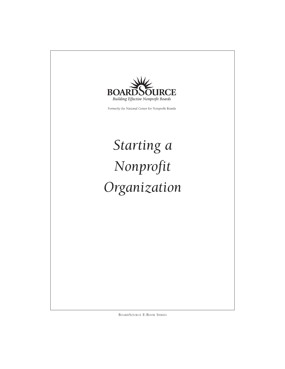

# *Starting a Nonprofit Organization*

BOARDSOURCE E-BOOK SERIES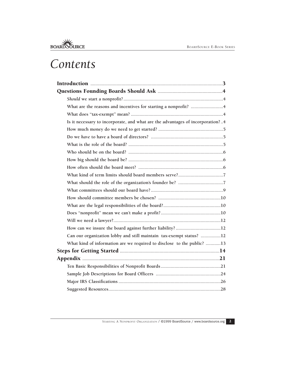# *Contents*

| Is it necessary to incorporate, and what are the advantages of incorporation?4 |
|--------------------------------------------------------------------------------|
|                                                                                |
|                                                                                |
|                                                                                |
|                                                                                |
|                                                                                |
|                                                                                |
|                                                                                |
|                                                                                |
|                                                                                |
|                                                                                |
|                                                                                |
|                                                                                |
|                                                                                |
|                                                                                |
| Can our organization lobby and still maintain tax-exempt status? 12            |
| What kind of information are we required to disclose to the public? 13         |
|                                                                                |
|                                                                                |
|                                                                                |
|                                                                                |
|                                                                                |
|                                                                                |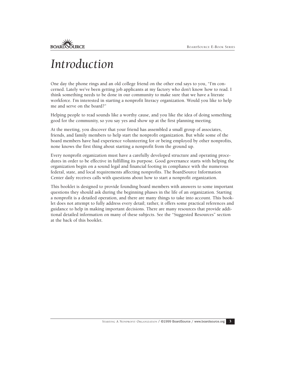

# *Introduction*

One day the phone rings and an old college friend on the other end says to you, "I'm concerned. Lately we've been getting job applicants at my factory who don't know how to read. I think something needs to be done in our community to make sure that we have a literate workforce. I'm interested in starting a nonprofit literacy organization. Would you like to help me and serve on the board?"

Helping people to read sounds like a worthy cause, and you like the idea of doing something good for the community, so you say yes and show up at the first planning meeting.

At the meeting, you discover that your friend has assembled a small group of associates, friends, and family members to help start the nonprofit organization. But while some of the board members have had experience volunteering for or being employed by other nonprofits, none knows the first thing about starting a nonprofit from the ground up.

Every nonprofit organization must have a carefully developed structure and operating procedures in order to be effective in fulfilling its purpose. Good governance starts with helping the organization begin on a sound legal and financial footing in compliance with the numerous federal, state, and local requirements affecting nonprofits. The BoardSource Information Center daily receives calls with questions about how to start a nonprofit organization.

This booklet is designed to provide founding board members with answers to some important questions they should ask during the beginning phases in the life of an organization. Starting a nonprofit is a detailed operation, and there are many things to take into account. This booklet does not attempt to fully address every detail; rather, it offers some practical references and guidance to help in making important decisions. There are many resources that provide additional detailed information on many of these subjects. See the "Suggested Resources" section at the back of this booklet.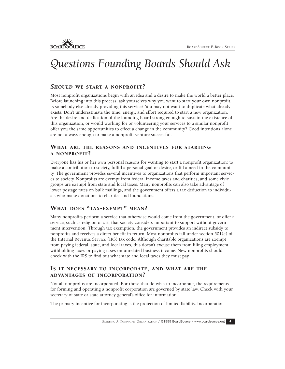

# *Questions Founding Boards Should Ask*

## *SHOULD* WE START A NONPROFIT?

Most nonprofit organizations begin with an idea and a desire to make the world a better place. Before launching into this process, ask yourselves why you want to start your own nonprofit. Is somebody else already providing this service? You may not want to duplicate what already exists. Don't underestimate the time, energy, and effort required to start a new organization. Are the desire and dedication of the founding board strong enough to sustain the existence of this organization, or would working for or volunteering your services to a similar nonprofit offer you the same opportunities to effect a change in the community? Good intentions alone are not always enough to make a nonprofit venture successful.

# WHAT ARE THE REASONS AND INCENTIVES FOR STARTING A NONPROFIT?

Everyone has his or her own personal reasons for wanting to start a nonprofit organization: to make a contribution to society, fulfill a personal goal or desire, or fill a need in the community. The government provides several incentives to organizations that perform important services to society. Nonprofits are exempt from federal income taxes and charities, and some civic groups are exempt from state and local taxes. Many nonprofits can also take advantage of lower postage rates on bulk mailings, and the government offers a tax deduction to individuals who make donations to charities and foundations.

# WHAT DOES "TAX-EXEMPT" MEAN?

Many nonprofits perform a service that otherwise would come from the government, or offer a service, such as religion or art, that society considers important to support without government intervention. Through tax exemption, the government provides an indirect subsidy to nonprofits and receives a direct benefit in return. Most nonprofits fall under section 501(c) of the Internal Revenue Service (IRS) tax code. Although charitable organizations are exempt from paying federal, state, and local taxes, this doesn't excuse them from filing employment withholding taxes or paying taxes on unrelated business income. New nonprofits should check with the IRS to find out what state and local taxes they must pay.

### IS IT NECESSARY TO INCORPORATE, AND WHAT ARE THE ADVANTAGES OF INCORPORATION?

Not all nonprofits are incorporated. For those that do wish to incorporate, the requirements for forming and operating a nonprofit corporation are governed by state law. Check with your secretary of state or state attorney general's office for information.

The primary incentive for incorporating is the protection of limited liability. Incorporation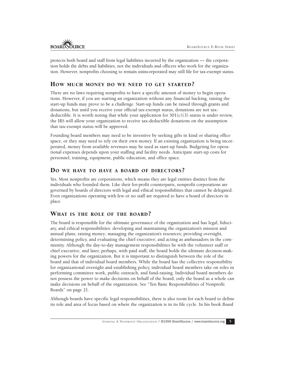protects both board and staff from legal liabilities incurred by the organization — the corporation holds the debts and liabilities, not the individuals and officers who work for the organization. However, nonprofits choosing to remain unincorporated may still file for tax-exempt status.

# HOW MUCH MONEY DO WE NEED TO GET STARTED?

There are no laws requiring nonprofits to have a specific amount of money to begin operations. However, if you are starting an organization without any financial backing, raising the start-up funds may prove to be a challenge. Start-up funds can be raised through grants and donations, but until you receive your official tax-exempt status, donations are not taxdeductible. It is worth noting that while your application for  $501(c)(3)$  status is under review, the IRS will allow your organization to receive tax-deductible donations on the assumption that tax-exempt status will be approved.

Founding board members may need to be inventive by seeking gifts in kind or sharing office space, or they may need to rely on their own money. If an existing organization is being incorporated, money from available revenues may be used as start-up funds. Budgeting for operational expenses depends upon your staffing and facility needs. Anticipate start-up costs for personnel, training, equipment, public education, and office space.

# DO WE HAVE TO *HAVE* A BOARD OF DIRECTORS?

Yes. Most nonprofits are corporations, which means they are legal entities distinct from the individuals who founded them. Like their for-profit counterparts, nonprofit corporations are governed by boards of directors with legal and ethical responsibilities that cannot be delegated. Even organizations operating with few or no staff are required to have a board of directors in place.

## WHAT IS THE ROLE OF THE BOARD?

The board is responsible for the ultimate governance of the organization and has legal, fiduciary, and ethical responsibilities: developing and maintaining the organization's mission and annual plans; raising money; managing the organization's resources; providing oversight, determining policy, and evaluating the chief executive; and acting as ambassadors in the community. Although the day-to-day management responsibilities lie with the volunteer staff or chief executive, and later, perhaps, with paid staff, the board holds the ultimate decision-making powers for the organization. But it is important to distinguish between the role of the board and that of individual board members. While the board has the collective responsibility for organizational oversight and establishing policy, individual board members take on roles in performing committee work, public outreach, and fund-raising. Individual board members do not possess the power to make decisions on behalf of the board; only the board as a whole can make decisions on behalf of the organization. See "Ten Basic Responsibilities of Nonprofit Boards" on page 21.

Although boards have specific legal responsibilities, there is also room for each board to define its role and area of focus based on where the organization is in its life cycle. In his book *Board*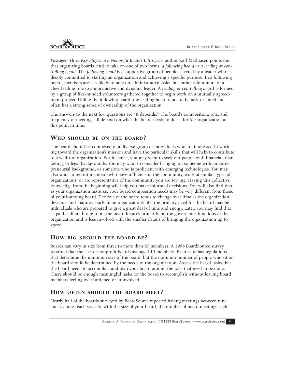*Passages: Three Key Stages in a Nonprofit Board's Life Cycle*, author Karl Mathiasen points out that organizing boards tend to take on one of two forms: *a following board or a leading or controlling board*. The *following board* is a supportive group of people selected by a leader who is deeply committed to starting an organization and achieving a specific purpose. In a following board, members are less likely to take on administrative tasks, but rather adopt more of a cheerleading role to a more active and dynamic leader. A *leading or controlling boar*d is formed by a group of like-minded volunteers gathered together to begin work on a mutually agreedupon project. Unlike the following board, the leading board tends to be task-oriented and often has a strong sense of ownership of the organization.

The answers to the next few questions are "It depends." The board's composition, role, and frequency of meetings all depend on what the board needs to do — for *this* organization at *this* point in time.

# WHO SHOULD BE ON THE BOARD?

The board should be composed of a diverse group of individuals who are interested in working toward the organization's mission and have the particular skills that will help to contribute to a well-run organization. For instance, you may want to seek out people with financial, marketing, or legal backgrounds. You may want to consider bringing on someone with an entrepreneurial background, or someone who is proficient with emerging technologies. You may also want to recruit members who have influence in the community, work at similar types of organizations, or are representative of the community you are serving. Having this collective knowledge from the beginning will help you make informed decisions. You will also find that as your organization matures, your board composition needs may be very different from those of your founding board. The role of the board tends to change over time as the organization develops and matures. Early in an organization's life, the primary need for the board may be individuals who are prepared to give a great deal of time and energy. Later, you may find that as paid staff are brought on, the board focuses primarily on the governance functions of the organization and is less involved with the smaller details of bringing the organization up to speed.

## HOW BIG SHOULD THE BOARD BE?

Boards can vary in size from three to more than 50 members. A 1996 BoardSource survey reported that the size of nonprofit boards averaged 19 members. Each state has regulations that determine the minimum size of the board, but the optimum number of people who sit on the board should be determined by the needs of the organization. Assess the list of tasks that the board needs to accomplish and plan your board around the jobs that need to be done. There should be enough meaningful tasks for the board to accomplish without leaving board members feeling overburdened or uninvolved.

## HOW OFTEN SHOULD THE BOARD MEET?

Nearly half of the boards surveyed by BoardSource reported having meetings between nine and 12 times each year. As with the size of your board, the number of board meetings each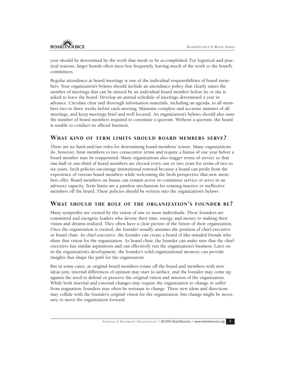year should be determined by the work that needs to be accomplished. For logistical and practical reasons, larger boards often meet less frequently, leaving much of the work to the board's committees.

Regular attendance at board meetings is one of the individual responsibilities of board members. Your organization's bylaws should include an attendance policy that clearly states the number of meetings that can be missed by an individual board member before he or she is asked to leave the board. Develop an annual schedule of meetings determined a year in advance. Circulate clear and thorough information materials, including an agenda, to all members two to three weeks before each meeting. Maintain complete and accurate minutes of all meetings, and keep meetings brief and well focused. An organization's bylaws should also state the number of board members required to constitute a quorum. Without a quorum, the board is unable to conduct its official business.

## WHAT KIND OF TERM LIMITS SHOULD BOARD MEMBERS SERVE?

There are no hard-and-fast rules for determining board members' tenure. Many organizations do, however, limit members to two consecutive terms and require a hiatus of one year before a board member may be reappointed. Many organizations also stagger terms of service so that one-half or one-third of board members are elected every one or two years for terms of two to six years. Such policies encourage institutional renewal because a board can profit from the experience of veteran board members while welcoming the fresh perspective that new members offer. Board members on hiatus can remain active in committee service or serve in an advisory capacity. Term limits are a painless mechanism for rotating inactive or ineffective members off the board. These policies should be written into the organization's bylaws.

## WHAT SHOULD THE ROLE OF THE ORGANIZATION'S FOUNDER BE?

Many nonprofits are created by the vision of one or more individuals. These founders are committed and energetic leaders who devote their time, energy, and money to making their vision and dreams realized. They often have a clear picture of the future of their organization. Once the organization is created, the founder usually assumes the position of chief executive or board chair. As chief executive, the founder can create a board of like-minded friends who share that vision for the organization. As board chair, the founder can make sure that the chief executive has similar aspirations and can effectively run the organization's business. Later on in the organization's development, the founder's solid organizational memory can provide insights that shape the path for the organization.

But in some cases, as original board members rotate off the board and members with new ideas join, internal differences of opinion may start to surface, and the founder may come up against the need to defend or preserve the original vision and mission of the organization. While both internal and external changes may require the organization to change or suffer from stagnation, founders may often be resistant to change. These new ideas and directions may collide with the founder's original vision for the organization, but change might be necessary to move the organization forward.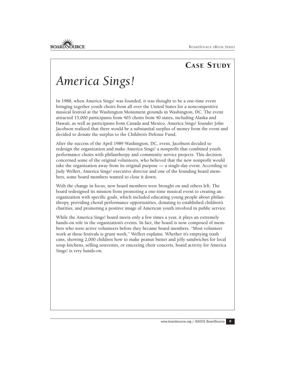

# CASE STUDY

# *America Sings!*

In 1988, when America Sings! was founded, it was thought to be a one-time event bringing together youth choirs from all over the United States for a noncompetitive musical festival at the Washington Monument grounds in Washington, DC. The event attracted 15,000 participants from 403 choirs from 40 states, including Alaska and Hawaii, as well as participants from Canada and Mexico. America Sings! founder John Jacobson realized that there would be a substantial surplus of money from the event and decided to donate the surplus to the Children's Defense Fund.

After the success of the April 1989 Washington, DC, event, Jacobson decided to redesign the organization and make America Sings! a nonprofit that combined youth performance choirs with philanthropy and community service projects. This decision concerned some of the original volunteers, who believed that the new nonprofit would take the organization away from its original purpose — a single-day event. According to Judy Wellert, America Sings! executive director and one of the founding board members, some board members wanted to close it down.

With the change in focus, new board members were brought on and others left. The board redesigned its mission from promoting a one-time musical event to creating an organization with specific goals, which included educating young people about philanthropy, providing choral performance opportunities, donating to established children's charities, and promoting a positive image of American youth involved in public service.

While the America Sings! board meets only a few times a year, it plays an extremely hands-on role in the organization's events. In fact, the board is now composed of members who were active volunteers before they became board members. "Most volunteer work at these festivals is grunt work," Wellert explains. Whether it's emptying trash cans, showing 2,000 children how to make peanut butter and jelly sandwiches for local soup kitchens, selling souvenirs, or emceeing choir concerts, board activity for America Sings! is very hands-on.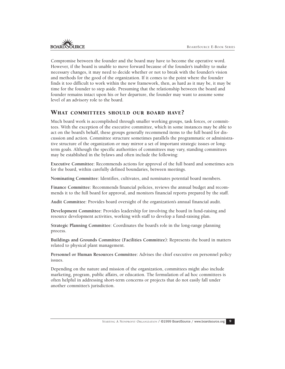Compromise between the founder and the board may have to become the operative word. However, if the board is unable to move forward because of the founder's inability to make necessary changes, it may need to decide whether or not to break with the founder's vision and methods for the good of the organization. If it comes to the point where the founder finds it too difficult to work within the new framework, then, as hard as it may be, it may be time for the founder to step aside. Presuming that the relationship between the board and founder remains intact upon his or her departure, the founder may want to assume some level of an advisory role to the board.

### WHAT COMMITTEES SHOULD OUR BOARD HAVE?

Much board work is accomplished through smaller working groups, task forces, or committees. With the exception of the executive committee, which in some instances may be able to act on the board's behalf, these groups generally recommend items to the full board for discussion and action. Committee structure sometimes parallels the programmatic or administrative structure of the organization or may mirror a set of important strategic issues or longterm goals. Although the specific authorities of committees may vary, standing committees may be established in the bylaws and often include the following:

**Executive Committee**: Recommends actions for approval of the full board and sometimes acts for the board, within carefully defined boundaries, between meetings.

**Nominating Committee**: Identifies, cultivates, and nominates potential board members.

**Finance Committee**: Recommends financial policies, reviews the annual budget and recommends it to the full board for approval, and monitors financial reports prepared by the staff.

**Audit Committee**: Provides board oversight of the organization's annual financial audit.

**Development Committee**: Provides leadership for involving the board in fund-raising and resource development activities, working with staff to develop a fund-raising plan.

**Strategic Planning Committee**: Coordinates the board's role in the long-range planning process.

**Buildings and Grounds Committee (Facilities Committee)**: Represents the board in matters related to physical plant management.

**Personnel or Human Resources Committee**: Advises the chief executive on personnel policy issues.

Depending on the nature and mission of the organization, committees might also include marketing, program, public affairs, or education. The formulation of ad hoc committees is often helpful in addressing short-term concerns or projects that do not easily fall under another committee's jurisdiction.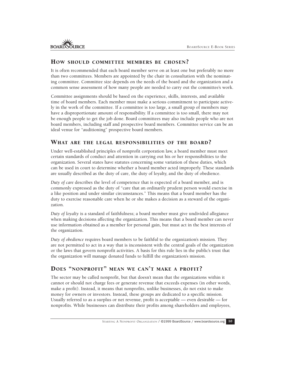### HOW SHOULD COMMITTEE MEMBERS BE CHOSEN?

It is often recommended that each board member serve on at least one but preferably no more than two committees. Members are appointed by the chair in consultation with the nominating committee. Committee size depends on the needs of the board and the organization and a common sense assessment of how many people are needed to carry out the committee's work.

Committee assignments should be based on the experience, skills, interests, and available time of board members. Each member must make a serious commitment to participate actively in the work of the committee. If a committee is too large, a small group of members may have a disproportionate amount of responsibility. If a committee is too small, there may not be enough people to get the job done. Board committees may also include people who are not board members, including staff and prospective board members. Committee service can be an ideal venue for "auditioning" prospective board members.

# WHAT ARE THE LEGAL RESPONSIBILITIES OF THE BOARD?

Under well-established principles of nonprofit corporation law, a board member must meet certain standards of conduct and attention in carrying out his or her responsibilities to the organization. Several states have statutes concerning some variation of these duties, which can be used in court to determine whether a board member acted improperly. These standards are usually described as the duty of care, the duty of loyalty, and the duty of obedience.

*Duty of care* describes the level of competence that is expected of a board member, and is commonly expressed as the duty of "care that an ordinarily prudent person would exercise in a like position and under similar circumstances." This means that a board member has the duty to exercise reasonable care when he or she makes a decision as a steward of the organization.

*Duty of loyalty* is a standard of faithfulness; a board member must give undivided allegiance when making decisions affecting the organization. This means that a board member can never use information obtained as a member for personal gain, but must act in the best interests of the organization.

*Duty of obedience* requires board members to be faithful to the organization's mission. They are not permitted to act in a way that is inconsistent with the central goals of the organization or the laws that govern nonprofit activities. A basis for this rule lies in the public's trust that the organization will manage donated funds to fulfill the organization's mission.

# DOES "NONPROFIT" MEAN WE CAN'T MAKE A PROFIT?

The sector may be called nonprofit, but that doesn't mean that the organizations within it cannot or should not charge fees or generate revenue that exceeds expenses (in other words, make a profit). Instead, it means that nonprofits, unlike businesses, do not exist to make money for owners or investors. Instead, these groups are dedicated to a specific mission. Usually referred to as a surplus or net revenue, profit is acceptable — even desirable — for nonprofits. While businesses can distribute their profits among shareholders and employees,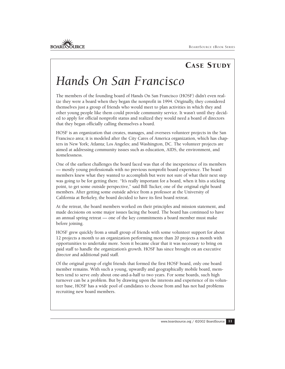**BOARDSOURCE** 

# CASE STUDY

# *Hands On San Francisco*

The members of the founding board of Hands On San Francisco (HOSF) didn't even realize they were a board when they began the nonprofit in 1994. Originally, they considered themselves just a group of friends who would meet to plan activities in which they and other young people like them could provide community service. It wasn't until they decided to apply for official nonprofit status and realized they would need a board of directors that they began officially calling themselves a board.

HOSF is an organization that creates, manages, and oversees volunteer projects in the San Francisco area; it is modeled after the City Cares of America organization, which has chapters in New York; Atlanta; Los Angeles; and Washington, DC. The volunteer projects are aimed at addressing community issues such as education, AIDS, the environment, and homelessness.

One of the earliest challenges the board faced was that of the inexperience of its members — mostly young professionals with no previous nonprofit board experience. The board members knew what they wanted to accomplish but were not sure of what their next step was going to be for getting there. "It's really important for a board, when it hits a sticking point, to get some outside perspective," said Bill Tucker, one of the original eight board members. After getting some outside advice from a professor at the University of California at Berkeley, the board decided to have its first board retreat.

At the retreat, the board members worked on their principles and mission statement, and made decisions on some major issues facing the board. The board has continued to have an annual spring retreat — one of the key commitments a board member must make before joining.

HOSF grew quickly from a small group of friends with some volunteer support for about 12 projects a month to an organization performing more than 20 projects a month with opportunities to undertake more. Soon it became clear that it was necessary to bring on paid staff to handle the organization's growth. HOSF has since brought on an executive director and additional paid staff.

Of the original group of eight friends that formed the first HOSF board, only one board member remains. With such a young, upwardly and geographically mobile board, members tend to serve only about one-and-a-half to two years. For some boards, such high turnover can be a problem. But by drawing upon the interests and experience of its volunteer base, HOSF has a wide pool of candidates to choose from and has not had problems recruiting new board members.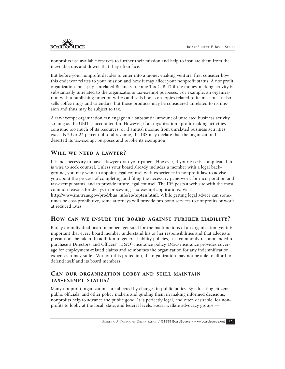nonprofits use available reserves to further their mission and help to insulate them from the inevitable ups and downs that they often face.

But before your nonprofit decides to enter into a money-making venture, first consider how this endeavor relates to your mission and how it may affect your nonprofit status. A nonprofit organization must pay Unrelated Business Income Tax (UBIT) if the money-making activity is substantially unrelated to the organization's tax-exempt purposes. For example, an organization with a publishing function writes and sells books on topics related to its mission. It also sells coffee mugs and calendars, but those products may be considered unrelated to its mission and thus may be subject to tax.

A tax-exempt organization can engage in a substantial amount of unrelated business activity so long as the UBIT is accounted for. However, if an organization's profit-making activities consume too much of its resources, or if annual income from unrelated business activities exceeds 20 or 25 percent of total revenue, the IRS may declare that the organization has deserted its tax-exempt purposes and revoke its exemption.

### WILL WE NEED A LAWYER?

It is not necessary to have a lawyer draft your papers. However, if your case is complicated, it is wise to seek counsel. Unless your board already includes a member with a legal background, you may want to appoint legal counsel with experience in nonprofit law to advise you about the process of completing and filing the necessary paperwork for incorporation and tax-exempt status, and to provide future legal counsel. The IRS posts a web site with the most common reasons for delays in processing tax-exempt applications. Visit

**http://www.irs.treas.gov/prod/bus\_info/eo/topten.html**. While getting legal advice can sometimes be cost-prohibitive, some attorneys will provide pro bono services to nonprofits or work at reduced rates.

#### HOW CAN WE INSURE THE BOARD AGAINST FURTHER LIABILITY?

Rarely do individual board members get sued for the malfunctions of an organization, yet it is important that every board member understand his or her responsibilities and that adequate precautions be taken. In addition to general liability policies, it is commonly recommended to purchase a Directors' and Officers' (D&O) insurance policy. D&O insurance provides coverage for employment-related claims and reimburses the organization for any indemnification expenses it may suffer. Without this protection, the organization may not be able to afford to defend itself and its board members.

### CAN OUR ORGANIZATION LOBBY AND STILL MAINTAIN TAX-EXEMPT STATUS?

Many nonprofit organizations are affected by changes in public policy. By educating citizens, public officials, and other policy makers and guiding them in making informed decisions, nonprofits help to advance the public good. It is perfectly legal, and often desirable, for nonprofits to lobby at the local, state, and federal levels. Social welfare advocacy groups —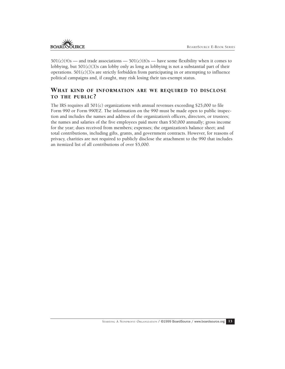$501(c)(4)s$  — and trade associations —  $501(c)(6)s$  — have some flexibility when it comes to lobbying, but 501(c)(3)s can lobby only as long as lobbying is not a substantial part of their operations.  $501(c)(3)$ s are strictly forbidden from participating in or attempting to influence political campaigns and, if caught, may risk losing their tax-exempt status.

## WHAT KIND OF INFORMATION ARE WE REQUIRED TO DISCLOSE TO THE PUBLIC?

The IRS requires all 501(c) organizations with annual revenues exceeding \$25,000 to file Form 990 or Form 990EZ. The information on the 990 must be made open to public inspection and includes the names and address of the organization's officers, directors, or trustees; the names and salaries of the five employees paid more than \$50,000 annually; gross income for the year; dues received from members; expenses; the organization's balance sheet; and total contributions, including gifts, grants, and government contracts. However, for reasons of privacy, charities are not required to publicly disclose the attachment to the 990 that includes an itemized list of all contributions of over \$5,000.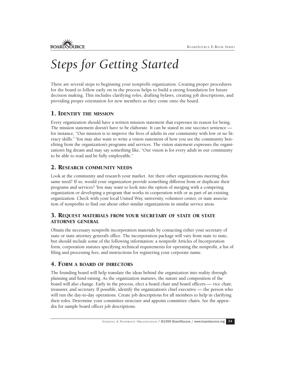**BOARDSOURCE** 

# *Steps for Getting Started*

There are several steps to beginning your nonprofit organization. Creating proper procedures for the board to follow early on in the process helps to build a strong foundation for future decision making. This includes clarifying roles, drafting bylaws, creating job descriptions, and providing proper orientation for new members as they come onto the board.

# 1. IDENTIFY THE MISSION

Every organization should have a written mission statement that expresses its reason for being. The mission statement doesn't have to be elaborate. It can be stated in one succinct sentence for instance, "Our mission is to improve the lives of adults in our community with low or no literacy skills." You may also want to write a vision statement of how you see the community benefiting from the organization's programs and services. The vision statement expresses the organization's big dream and may say something like, "Our vision is for every adult in our community to be able to read and be fully employable."

# 2. RESEARCH COMMUNITY NEEDS

Look at the community and research your market. Are there other organizations meeting this same need? If so, would your organization provide something different from or duplicate their programs and services? You may want to look into the option of merging with a competing organization or developing a program that works in cooperation with or as part of an existing organization. Check with your local United Way, university, volunteer center, or state association of nonprofits to find out about other similar organizations in similar service areas.

### 3. REQUEST MATERIALS FROM YOUR SECRETARY OF STATE OR STATE ATTORNEY GENERAL

Obtain the necessary nonprofit incorporation materials by contacting either your secretary of state or state attorney general's office. The incorporation package will vary from state to state, but should include some of the following information: a nonprofit Articles of Incorporation form, corporation statutes specifying technical requirements for operating the nonprofit, a list of filing and processing fees, and instructions for registering your corporate name.

# 4. FORM A BOARD OF DIRECTORS

The founding board will help translate the ideas behind the organization into reality through planning and fund-raising. As the organization matures, the nature and composition of the board will also change. Early in the process, elect a board chair and board officers — vice chair, treasurer, and secretary. If possible, identify the organization's chief executive — the person who will run the day-to-day operations. Create job descriptions for all members to help in clarifying their roles. Determine your committee structure and appoint committee chairs. See the appendix for sample board officer job descriptions.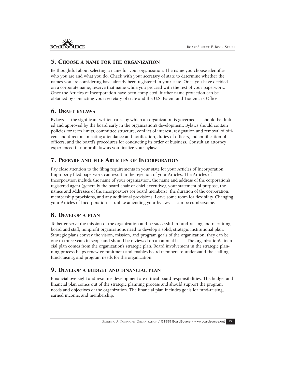### 5. CHOOSE A NAME FOR THE ORGANIZATION

Be thoughtful about selecting a name for your organization. The name you choose identifies who you are and what you do. Check with your secretary of state to determine whether the names you are considering have already been registered in your state. Once you have decided on a corporate name, reserve that name while you proceed with the rest of your paperwork. Once the Articles of Incorporation have been completed, further name protection can be obtained by contacting your secretary of state and the U.S. Patent and Trademark Office.

# 6. DRAFT BYLAWS

Bylaws — the significant written rules by which an organization is governed — should be drafted and approved by the board early in the organization's development. Bylaws should contain policies for term limits, committee structure, conflict of interest, resignation and removal of officers and directors, meeting attendance and notification, duties of officers, indemnification of officers, and the board's procedures for conducting its order of business. Consult an attorney experienced in nonprofit law as you finalize your bylaws.

# 7. PREPARE AND FILE ARTICLES OF INCORPORATION

Pay close attention to the filing requirements in your state for your Articles of Incorporation. Improperly filed paperwork can result in the rejection of your Articles. The Articles of Incorporation include the name of your organization, the name and address of the corporation's registered agent (generally the board chair or chief executive), your statement of purpose, the names and addresses of the incorporators (or board members), the duration of the corporation, membership provisions, and any additional provisions. Leave some room for flexibility. Changing your Articles of Incorporation — unlike amending your bylaws — can be cumbersome.

# 8. DEVELOP A PLAN

To better serve the mission of the organization and be successful in fund-raising and recruiting board and staff, nonprofit organizations need to develop a solid, strategic institutional plan. Strategic plans convey the vision, mission, and program goals of the organization; they can be one to three years in scope and should be reviewed on an annual basis. The organization's financial plan comes from the organization's strategic plan. Board involvement in the strategic planning process helps renew commitment and enables board members to understand the staffing, fund-raising, and program needs for the organization.

# 9. DEVELOP A BUDGET AND FINANCIAL PLAN

Financial oversight and resource development are critical board responsibilities. The budget and financial plan comes out of the strategic planning process and should support the program needs and objectives of the organization. The financial plan includes goals for fund-raising, earned income, and membership.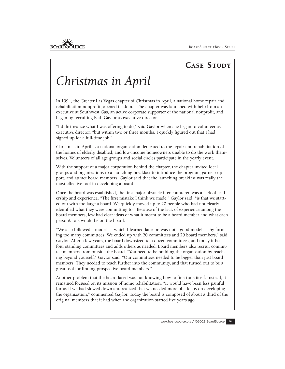**BOARDSOURCE** 

# CASE STUDY

# *Christmas in April*

In 1994, the Greater Las Vegas chapter of Christmas in April, a national home repair and rehabilitation nonprofit, opened its doors. The chapter was launched with help from an executive at Southwest Gas, an active corporate supporter of the national nonprofit, and began by recruiting Beth Gaylor as executive director.

"I didn't realize what I was offering to do," said Gaylor when she began to volunteer as executive director, "but within two or three months, I quickly figured out that I had signed up for a full-time job."

Christmas in April is a national organization dedicated to the repair and rehabilitation of the homes of elderly, disabled, and low-income homeowners unable to do the work themselves. Volunteers of all age groups and social circles participate in the yearly event.

With the support of a major corporation behind the chapter, the chapter invited local groups and organizations to a launching breakfast to introduce the program, garner support, and attract board members. Gaylor said that the launching breakfast was really the most effective tool in developing a board.

Once the board was established, the first major obstacle it encountered was a lack of leadership and experience. "The first mistake I think we made," Gaylor said, "is that we started out with too large a board. We quickly moved up to 20 people who had not clearly identified what they were committing to." Because of the lack of experience among the board members, few had clear ideas of what it meant to be a board member and what each person's role would be on the board.

"We also followed a model — which I learned later on was not a good model — by forming too many committees. We ended up with 20 committees and 20 board members," said Gaylor. After a few years, the board downsized to a dozen committees, and today it has four standing committees and adds others as needed. Board members also recruit committee members from outside the board. "You need to be building the organization by reaching beyond yourself," Gaylor said. "Our committees needed to be bigger than just board members. They needed to reach further into the community, and that turned out to be a great tool for finding prospective board members."

Another problem that the board faced was not knowing how to fine-tune itself. Instead, it remained focused on its mission of home rehabilitation. "It would have been less painful for us if we had slowed down and realized that we needed more of a focus on developing the organization," commented Gaylor. Today the board is composed of about a third of the original members that it had when the organization started five years ago.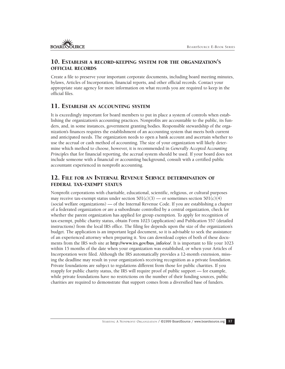## 10. ESTABLISH A RECORD-KEEPING SYSTEM FOR THE ORGANIZATION'S OFFICIAL RECORDS

Create a file to preserve your important corporate documents, including board meeting minutes, bylaws, Articles of Incorporation, financial reports, and other official records. Contact your appropriate state agency for more information on what records you are required to keep in the official files.

# 11. ESTABLISH AN ACCOUNTING SYSTEM

It is exceedingly important for board members to put in place a system of controls when establishing the organization's accounting practices. Nonprofits are accountable to the public, its funders, and, in some instances, government granting bodies. Responsible stewardship of the organization's finances requires the establishment of an accounting system that meets both current and anticipated needs. The organization needs to open a bank account and ascertain whether to use the accrual or cash method of accounting. The size of your organization will likely determine which method to choose, however, it is recommended in *Generally Accepted Accounting Principles* that for financial reporting, the accrual system should be used. If your board does not include someone with a financial or accounting background, consult with a certified public accountant experienced in nonprofit accounting.

## 12. FILE FOR AN INTERNAL REVENUE SERVICE DETERMINATION OF FEDERAL TAX-EXEMPT STATUS

Nonprofit corporations with charitable, educational, scientific, religious, or cultural purposes may receive tax-exempt status under section  $501(c)(3)$  — or sometimes section  $501(c)(4)$ (social welfare organizations) — of the Internal Revenue Code. If you are establishing a chapter of a federated organization or are a subordinate controlled by a central organization, check for whether the parent organization has applied for group exemption. To apply for recognition of tax-exempt, public charity status, obtain Form 1023 (application) and Publication 557 (detailed instructions) from the local IRS office. The filing fee depends upon the size of the organization's budget. The application is an important legal document, so it is advisable to seek the assistance of an experienced attorney when preparing it. You can download copies of both of these documents from the IRS web site at **http://www.irs.gov/bus\_info/eo/**. It is important to file your 1023 within 15 months of the date when your organization was established, or when your Articles of Incorporation were filed. Although the IRS automatically provides a 12-month extension, missing the deadline may result in your organization's receiving recognition as a private foundation. Private foundations are subject to regulations different from those for public charities. If you reapply for public charity status, the IRS will require proof of public support — for example, while private foundations have no restrictions on the number of their funding sources, public charities are required to demonstrate that support comes from a diversified base of funders.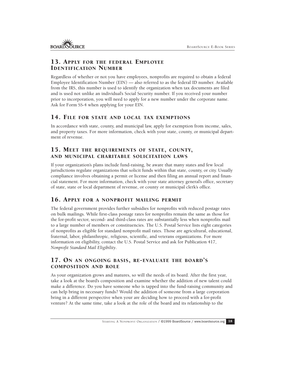# 13. APPLY FOR THE FEDERAL EMPLOYEE IDENTIFICATION NUMBER

Regardless of whether or not you have employees, nonprofits are required to obtain a federal Employee Identification Number (EIN) — also referred to as the federal ID number. Available from the IRS, this number is used to identify the organization when tax documents are filed and is used not unlike an individual's Social Security number. If you received your number prior to incorporation, you will need to apply for a new number under the corporate name. Ask for Form SS-4 when applying for your EIN.

## 14. FILE FOR STATE AND LOCAL TAX EXEMPTIONS

In accordance with state, county, and municipal law, apply for exemption from income, sales, and property taxes. For more information, check with your state, county, or municipal department of revenue.

# 15. MEET THE REQUIREMENTS OF STATE, COUNTY, AND MUNICIPAL CHARITABLE SOLICITATION LAWS

If your organization's plans include fund-raising, be aware that many states and few local jurisdictions regulate organizations that solicit funds within that state, county, or city. Usually compliance involves obtaining a permit or license and then filing an annual report and financial statement. For more information, check with your state attorney general's office, secretary of state, state or local department of revenue, or county or municipal clerk's office.

# 16. APPLY FOR A NONPROFIT MAILING PERMIT

The federal government provides further subsidies for nonprofits with reduced postage rates on bulk mailings. While first-class postage rates for nonprofits remain the same as those for the for-profit sector, second- and third-class rates are substantially less when nonprofits mail to a large number of members or constituencies. The U.S. Postal Service lists eight categories of nonprofits as eligible for standard nonprofit mail rates. Those are agricultural, educational, fraternal, labor, philanthropic, religious, scientific, and veterans organizations. For more information on eligibility, contact the U.S. Postal Service and ask for Publication 417, *Nonprofit Standard Mail Eligibility*.

## 17. ON AN ONGOING BASIS, RE-EVALUATE THE BOARD'S COMPOSITION AND ROLE

As your organization grows and matures, so will the needs of its board. After the first year, take a look at the board's composition and examine whether the addition of new talent could make a difference. Do you have someone who is tapped into the fund-raising community and can help bring in necessary funds? Would the addition of someone from a large corporation bring in a different perspective when your are deciding how to proceed with a for-profit venture? At the same time, take a look at the role of the board and its relationship to the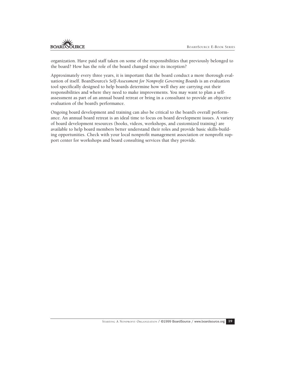organization. Have paid staff taken on some of the responsibilities that previously belonged to the board? How has the role of the board changed since its inception?

Approximately every three years, it is important that the board conduct a more thorough evaluation of itself. BoardSource's *Self-Assessment for Nonprofit Governing Boards* is an evaluation tool specifically designed to help boards determine how well they are carrying out their responsibilities and where they need to make improvements. You may want to plan a selfassessment as part of an annual board retreat or bring in a consultant to provide an objective evaluation of the board's performance.

Ongoing board development and training can also be critical to the board's overall performance. An annual board retreat is an ideal time to focus on board development issues. A variety of board development resources (books, videos, workshops, and customized training) are available to help board members better understand their roles and provide basic skills-building opportunities. Check with your local nonprofit management association or nonprofit support center for workshops and board consulting services that they provide.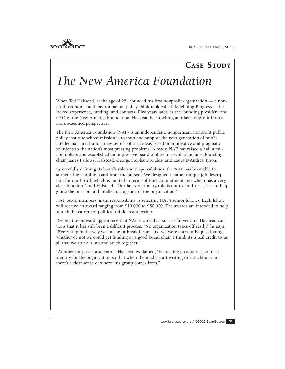**BOARDSOURCE** 

# *The New America Foundation*  CASE STUDY

When Ted Halstead, at the age of 25, founded his first nonprofit organization — a nonprofit economic and environmental policy think tank called Redefining Progress — he lacked experience, funding, and contacts. Five years later, as the founding president and CEO of the New America Foundation, Halstead is launching another nonprofit from a more seasoned perspective.

The New America Foundation (NAF) is an independent, nonpartisan, nonprofit public policy institute whose mission is to train and support the next generation of public intellectuals and build a new set of political ideas based on innovative and pragmatic solutions to the nation's most pressing problems. Already, NAF has raised a half a million dollars and established an impressive board of directors which includes founding chair James Fallows, Halstead, George Stephanopoulos, and Laura D'Andrea Tyson.

By carefully defining its board's role and responsibilities, the NAF has been able to attract a high-profile board from the outset. "We designed a rather unique job description for our board, which is limited in terms of time commitment and which has a very clear function," said Halstead. "Our board's primary role is not to fund-raise; it is to help guide the mission and intellectual agenda of the organization."

NAF board members' main responsibility is selecting NAF's senior fellows. Each fellow will receive an award ranging from \$10,000 to \$50,000. The awards are intended to help launch the careers of political thinkers and writers.

Despite the outward appearance that NAF is already a successful venture, Halstead cautions that it has still been a difficult process. "No organization takes off easily," he says. "Every step of the way was make or break for us, and we were constantly questioning whether or not we could get funding or a good board chair. I think it's a real credit to us all that we stuck it out and stuck together."

"Another purpose for a board," Halstead explained, "is creating an external political identity for the organization so that when the media start writing stories about you, there's a clear sense of where this group comes from."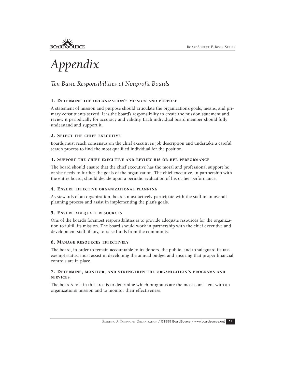

# *Appendix*

# *Ten Basic Responsibilities of Nonprofit Boards*

### 1. DETERMINE THE ORGANIZATION'S MISSION AND PURPOSE

A statement of mission and purpose should articulate the organization's goals, means, and primary constituents served. It is the board's responsibility to create the mission statement and review it periodically for accuracy and validity. Each individual board member should fully understand and support it.

### 2. SELECT THE CHIEF EXECUTIVE

Boards must reach consensus on the chief executive's job description and undertake a careful search process to find the most qualified individual for the position.

### 3. SUPPORT THE CHIEF EXECUTIVE AND REVIEW HIS OR HER PERFORMANCE

The board should ensure that the chief executive has the moral and professional support he or she needs to further the goals of the organization. The chief executive, in partnership with the entire board, should decide upon a periodic evaluation of his or her performance.

#### 4. ENSURE EFFECTIVE ORGANIZATIONAL PLANNING

As stewards of an organization, boards must actively participate with the staff in an overall planning process and assist in implementing the plan's goals.

#### 5. ENSURE ADEQUATE RESOURCES

One of the board's foremost responsibilities is to provide adequate resources for the organization to fulfill its mission. The board should work in partnership with the chief executive and development staff, if any, to raise funds from the community.

#### 6. MANAGE RESOURCES EFFECTIVELY

The board, in order to remain accountable to its donors, the public, and to safeguard its taxexempt status, must assist in developing the annual budget and ensuring that proper financial controls are in place.

#### 7. DETERMINE, MONITOR, AND STRENGTHEN THE ORGANIZATION'S PROGRAMS AND SERVICES

The board's role in this area is to determine which programs are the most consistent with an organization's mission and to monitor their effectiveness.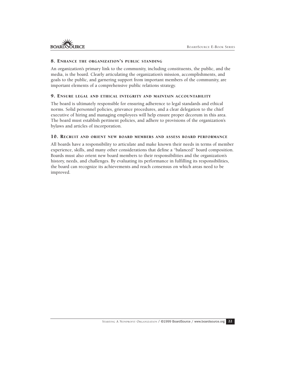#### 8. ENHANCE THE ORGANIZATION'S PUBLIC STANDING

An organization's primary link to the community, including constituents, the public, and the media, is the board. Clearly articulating the organization's mission, accomplishments, and goals to the public, and garnering support from important members of the community, are important elements of a comprehensive public relations strategy.

#### 9. ENSURE LEGAL AND ETHICAL INTEGRITY AND MAINTAIN ACCOUNTABILITY

The board is ultimately responsible for ensuring adherence to legal standards and ethical norms. Solid personnel policies, grievance procedures, and a clear delegation to the chief executive of hiring and managing employees will help ensure proper decorum in this area. The board must establish pertinent policies, and adhere to provisions of the organization's bylaws and articles of incorporation.

#### 10. RECRUIT AND ORIENT NEW BOARD MEMBERS AND ASSESS BOARD PERFORMANCE

All boards have a responsibility to articulate and make known their needs in terms of member experience, skills, and many other considerations that define a "balanced" board composition. Boards must also orient new board members to their responsibilities and the organization's history, needs, and challenges. By evaluating its performance in fulfilling its responsibilities, the board can recognize its achievements and reach consensus on which areas need to be improved.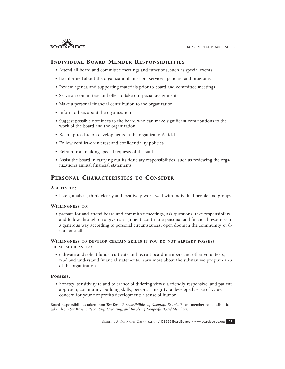# INDIVIDUAL BOARD MEMBER RESPONSIBILITIES

- Attend all board and committee meetings and functions, such as special events
- Be informed about the organization's mission, services, policies, and programs
- Review agenda and supporting materials prior to board and committee meetings
- Serve on committees and offer to take on special assignments
- Make a personal financial contribution to the organization
- Inform others about the organization
- Suggest possible nominees to the board who can make significant contributions to the work of the board and the organization
- Keep up-to-date on developments in the organization's field
- Follow conflict-of-interest and confidentiality policies
- Refrain from making special requests of the staff
- Assist the board in carrying out its fiduciary responsibilities, such as reviewing the organization's annual financial statements

# PERSONAL CHARACTERISTICS TO CONSIDER

#### ABILITY TO:

• listen, analyze, think clearly and creatively, work well with individual people and groups

#### WILLINGNESS TO:

• prepare for and attend board and committee meetings, ask questions, take responsibility and follow through on a given assignment, contribute personal and financial resources in a generous way according to personal circumstances, open doors in the community, evaluate oneself

#### WILLINGNESS TO DEVELOP CERTAIN SKILLS IF YOU DO NOT ALREADY POSSESS THEM, SUCH AS TO:

• cultivate and solicit funds, cultivate and recruit board members and other volunteers, read and understand financial statements, learn more about the substantive program area of the organization

#### POSSESS:

• honesty; sensitivity to and tolerance of differing views; a friendly, responsive, and patient approach; community-building skills; personal integrity; a developed sense of values; concern for your nonprofit's development; a sense of humor

Board responsibilities taken from *Ten Basic Responsibilities of Nonprofit Boards*. Board member responsibilities taken from *Six Keys to Recruiting, Orienting, and Involving Nonprofit Board Members*.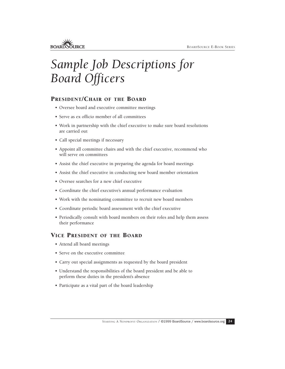**BOARDSOURCE** 

# *Sample Job Descriptions for Board Officers*

# PRESIDENT/CHAIR OF THE BOARD

- Oversee board and executive committee meetings
- Serve as ex officio member of all committees
- Work in partnership with the chief executive to make sure board resolutions are carried out
- Call special meetings if necessary
- Appoint all committee chairs and with the chief executive, recommend who will serve on committees
- Assist the chief executive in preparing the agenda for board meetings
- Assist the chief executive in conducting new board member orientation
- Oversee searches for a new chief executive
- Coordinate the chief executive's annual performance evaluation
- Work with the nominating committee to recruit new board members
- Coordinate periodic board assessment with the chief executive
- Periodically consult with board members on their roles and help them assess their performance

# VICE PRESIDENT OF THE BOARD

- Attend all board meetings
- Serve on the executive committee
- Carry out special assignments as requested by the board president
- Understand the responsibilities of the board president and be able to perform these duties in the president's absence
- Participate as a vital part of the board leadership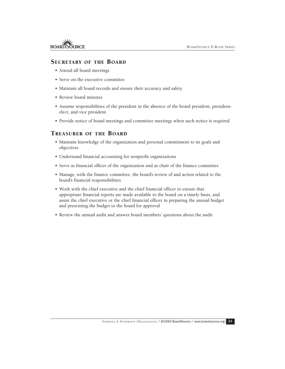### SECRETARY OF THE BOARD

- Attend all board meetings
- Serve on the executive committee
- Maintain all board records and ensure their accuracy and safety
- Review board minutes
- Assume responsibilities of the president in the absence of the board president, presidentelect, and vice president
- Provide notice of board meetings and committee meetings when such notice is required

### TREASURER OF THE BOARD

- Maintain knowledge of the organization and personal commitment to its goals and objectives
- Understand financial accounting for nonprofit organizations
- Serve as financial officer of the organization and as chair of the finance committee
- Manage, with the finance committee, the board's review of and action related to the board's financial responsibilities
- Work with the chief executive and the chief financial officer to ensure that appropriate financial reports are made available to the board on a timely basis, and assist the chief executive or the chief financial officer in preparing the annual budget and presenting the budget to the board for approval
- Review the annual audit and answer board members' questions about the audit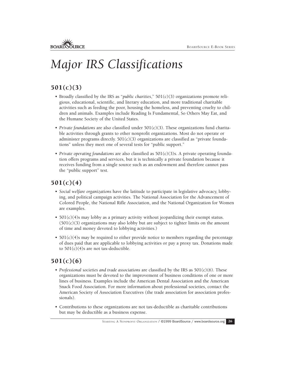# *Major IRS Classifications*

# $501(c)(3)$

- Broadly classified by the IRS as "*public charities*," 501(c)(3) organizations promote religious, educational, scientific, and literary education, and more traditional charitable activities such as feeding the poor, housing the homeless, and preventing cruelty to children and animals. Examples include Reading Is Fundamental, So Others May Eat, and the Humane Society of the United States.
- *Private foundations* are also classified under 501(c)(3). These organizations fund charitable activities through grants to other nonprofit organizations. Most do not operate or administer programs directly.  $501(c)(3)$  organizations are classified as "private foundations" unless they meet one of several tests for "public support."
- *Private operating foundations* are also classified as 501(c)(3)s. A private operating foundation offers programs and services, but it is technically a private foundation because it receives funding from a single source such as an endowment and therefore cannot pass the "public support" test.

# $501(c)(4)$

- *Social welfare organizations* have the latitude to participate in legislative advocacy, lobbying, and political campaign activities. The National Association for the Advancement of Colored People, the National Rifle Association, and the National Organization for Women are examples.
- $501(c)(4)$ s may lobby as a primary activity without jeopardizing their exempt status.  $(501(c)(3)$  organizations may also lobby but are subject to tighter limits on the amount of time and money devoted to lobbying activities.)
- $501(c)(4)$ s may be required to either provide notice to members regarding the percentage of dues paid that are applicable to lobbying activities or pay a proxy tax. Donations made to  $501(c)(4)$ s are not tax-deductible.

# $501(c)(6)$

- *Professional societies and trade associations* are classified by the IRS as 501(c)(6). These organizations must be devoted to the improvement of business conditions of one or more lines of business. Examples include the American Dental Association and the American Snack Food Association. For more information about professional societies, contact the American Society of Association Executives (the trade association for association professionals).
- Contributions to these organizations are not tax-deductible as charitable contributions but may be deductible as a business expense.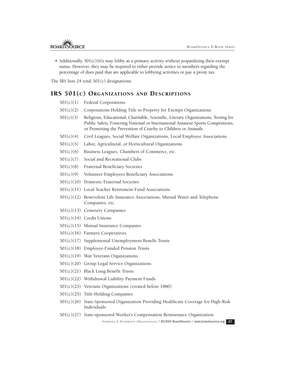• Additionally,  $501(c)(6)$ s may lobby as a primary activity without jeopardizing their exempt status. However, they may be required to either provide notice to members regarding the percentage of dues paid that are applicable to lobbying activities or pay a proxy tax.

The IRS lists 24 total 501(c) designations.

### IRS 501(C) ORGANIZATIONS AND DESCRIPTIONS

- 501(c)(1) Federal Corporations
- $501(c)(2)$  Corporations Holding Title to Property for Exempt Organizations
- 501(c)(3) Religious, Educational, Charitable, Scientific, Literary Organizations, Testing for Public Safety, Fostering National or International Amateur Sports Competitions, or Promoting the Prevention of Cruelty to Children or Animals
- 501(c)(4) Civil Leagues, Social Welfare Organizations, Local Employee Associations
- 501(c)(5) Labor, Agricultural, or Horticultural Organizations
- 501(c)(6) Business Leagues, Chambers of Commerce, etc.
- 501(c)(7) Social and Recreational Clubs
- 501(c)(8) Fraternal Beneficiary Societies
- 501(c)(9) Volunteer Employees Beneficiary Associations
- 501(c)(10) Domestic Fraternal Societies
- 501(c)(11) Local Teacher Retirement Fund Associations
- 501(c)(12) Benevolent Life Insurance Associations, Mutual Water and Telephone Companies, etc.
- 501(c)(13) Cemetery Companies
- 501(c)(14) Credit Unions
- 501(c)(15) Mutual Insurance Companies
- 501(c)(16) Farmers Cooperatives
- 501(c)(17) Supplemental Unemployment Benefit Trusts
- 501(c)(18) Employee-Funded Pension Trusts
- 501(c)(19) War Veterans Organizations
- 501(c)(20) Group Legal Service Organizations
- 501(c)(21) Black Lung Benefit Trusts
- 501(c)(22) Withdrawal Liability Payment Funds
- 501(c)(23) Veterans Organizations (created before 1880)
- 501(c)(25) Title-Holding Companies
- 501(c)(26) State-Sponsored Organization Providing Healthcare Coverage for High-Risk Individuals
- 501(c)(27) State-sponsored Worker's Compensation Reinsurance Organization

STARTING A NONPROFIT ORGANIZATION / @1999 BoardSource / www.boardsource.org 27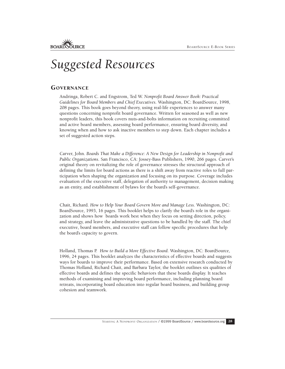# *Suggested Resources*

### GOVERNANCE

Andringa, Robert C. and Engstrom, Ted W. *Nonprofit Board Answer Book: Practical Guidelines for Board Members and Chief Executives*. Washington, DC: BoardSource, 1998, 208 pages. This book goes beyond theory, using real-life experiences to answer many questions concerning nonprofit board governance. Written for seasoned as well as new nonprofit leaders, this book covers nuts-and-bolts information on recruiting committed and active board members, assessing board performance, ensuring board diversity, and knowing when and how to ask inactive members to step down. Each chapter includes a set of suggested action steps.

Carver, John. *Boards That Make a Difference: A New Design for Leadership in Nonprofit and Public Organizations*. San Francisco, CA: Jossey-Bass Publishers, 1990, 266 pages. Carver's original theory on revitalizing the role of governance stresses the structural approach of defining the limits for board actions as there is a shift away from reactive roles to full participation when shaping the organization and focusing on its purpose. Coverage includes evaluation of the executive staff, delegation of authority to management, decision making as an entity, and establishment of bylaws for the board's self-governance.

Chait, Richard. *How to Help Your Board Govern More and Manage Less*. Washington, DC: BoardSource, 1993, 16 pages. This booklet helps to clarify the board's role in the organization and shows how boards work best when they focus on setting direction, policy, and strategy, and leave the administrative questions to be handled by the staff. The chief executive, board members, and executive staff can follow specific procedures that help the board's capacity to govern.

Holland, Thomas P. *How to Build a More Effective Board*. Washington, DC: BoardSource, 1996, 24 pages. This booklet analyzes the characteristics of effective boards and suggests ways for boards to improve their performance. Based on extensive research conducted by Thomas Holland, Richard Chait, and Barbara Taylor, the booklet outlines six qualities of effective boards and defines the specific behaviors that these boards display. It teaches methods of examining and improving board performance, including planning board retreats, incorporating board education into regular board business, and building group cohesion and teamwork.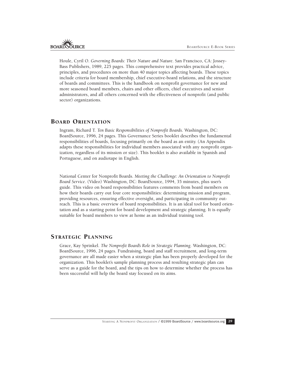Houle, Cyril O. *Governing Boards: Their Nature and Nature*. San Francisco, CA: Jossey-Bass Publishers, 1989, 225 pages. This comprehensive text provides practical advice, principles, and procedures on more than 40 major topics affecting boards. These topics include criteria for board membership, chief executive-board relations, and the structure of boards and committees. This is the handbook on nonprofit governance for new and more seasoned board members, chairs and other officers, chief executives and senior administrators, and all others concerned with the effectiveness of nonprofit (and public sector) organizations.

### BOARD ORIENTATION

Ingram, Richard T. *Ten Basic Responsibilities of Nonprofit Boards*. Washington, DC: BoardSource, 1996, 24 pages. This Governance Series booklet describes the fundamental responsibilities of boards, focusing primarily on the board as an entity. (An Appendix adapts these responsibilities for individual members associated with any nonprofit organization, regardless of its mission or size). This booklet is also available in Spanish and Portuguese, and on audiotape in English.

National Center for Nonprofit Boards. *Meeting the Challenge: An Orientation to Nonprofit Board Service*. (Video) Washington, DC: BoardSource, 1994, 35 minutes, plus user's guide. This video on board responsibilities features comments from board members on how their boards carry out four core responsibilities: determining mission and program, providing resources, ensuring effective oversight, and participating in community outreach. This is a basic overview of board responsibilities. It is an ideal tool for board orientation and as a starting point for board development and strategic planning. It is equally suitable for board members to view at home as an individual training tool.

### STRATEGIC PLANNING

Grace, Kay Sprinkel. *The Nonprofit Board's Role in Strategic Planning*. Washington, DC: BoardSource, 1996, 24 pages. Fundraising, board and staff recruitment, and long-term governance are all made easier when a strategic plan has been properly developed for the organization. This booklet's sample planning process and resulting strategic plan can serve as a guide for the board, and the tips on how to determine whether the process has been successful will help the board stay focused on its aims.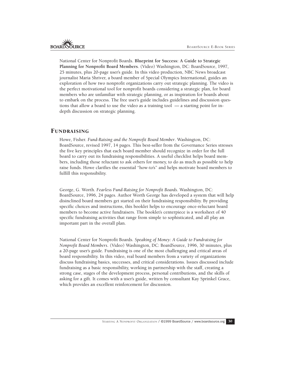National Center for Nonprofit Boards. **Blueprint for Success: A Guide to Strategic Planning for Nonprofit Board Members**. (Video) Washington, DC: BoardSource, 1997, 25 minutes, plus 20-page user's guide. In this video production, NBC News broadcast journalist Maria Shriver, a board member of Special Olympics International, guides an exploration of how two nonprofit organizations carry out strategic planning. The video is the perfect motivational tool for nonprofit boards considering a strategic plan, for board members who are unfamiliar with strategic planning, or as inspiration for boards about to embark on the process. The free user's guide includes guidelines and discussion questions that allow a board to use the video as a training tool — a starting point for indepth discussion on strategic planning.

### FUNDRAISING

Howe, Fisher. *Fund-Raising and the Nonprofit Board Member*. Washington, DC: BoardSource, revised 1997, 14 pages. This best-seller from the Governance Series stresses the five key principles that each board member should recognize in order for the full board to carry out its fundraising responsibilities. A useful checklist helps board members, including those reluctant to ask others for money, to do as much as possible to help raise funds. Howe clarifies the essential "how-to's" and helps motivate board members to fulfill this responsibility.

George, G. Worth. *Fearless Fund-Raising for Nonprofit Boards*. Washington, DC: BoardSource, 1996, 24 pages. Author Worth George has developed a system that will help disinclined board members get started on their fundraising responsibility. By providing specific choices and instructions, this booklet helps to encourage once-reluctant board members to become active fundraisers. The booklet's centerpiece is a worksheet of 40 specific fundraising activities that range from simple to sophisticated, and all play an important part in the overall plan.

National Center for Nonprofit Boards. *Speaking of Money: A Guide to Fundraising for Nonprofit Board Members*. (Video) Washington, DC: BoardSource, 1996, 30 minutes, plus a 20-page user's guide. Fundraising is one of the most challenging and critical areas of board responsibility. In this video, real board members from a variety of organizations discuss fundraising basics, successes, and critical considerations. Issues discussed include fundraising as a basic responsibility, working in partnership with the staff, creating a strong case, stages of the development process, personal contributions, and the skills of asking for a gift. It comes with a user's guide, written by consultant Kay Sprinkel Grace, which provides an excellent reinforcement for discussion.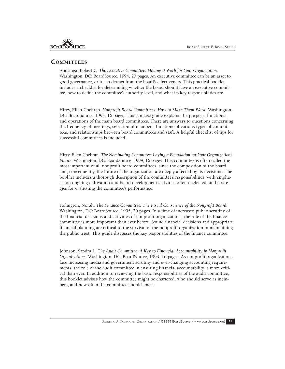### **COMMITTEES**

Andringa, Robert C. *The Executive Committee: Making It Work for Your Organization.* Washington, DC: BoardSource, 1994, 20 pages. An executive committee can be an asset to good governance, or it can detract from the board's effectiveness. This practical booklet includes a checklist for determining whether the board should have an executive committee, how to define the committee's authority level, and what its key responsibilities are.

Hirzy, Ellen Cochran. *Nonprofit Board Committees: How to Make Them Work*. Washington, DC: BoardSource, 1993, 16 pages. This concise guide explains the purpose, functions, and operations of the main board committees. There are answers to questions concerning the frequency of meetings, selection of members, functions of various types of committees, and relationships between board committees and staff. A helpful checklist of tips for successful committees is included.

Hirzy, Ellen Cochran. *The Nominating Committee: Laying a Foundation for Your Organization's Future*. Washington, DC: BoardSource, 1994, 16 pages. This committee is often called the most important of all nonprofit board committees, since the composition of the board and, consequently, the future of the organization are deeply affected by its decisions. The booklet includes a thorough description of the committee's responsibilities, with emphasis on ongoing cultivation and board development activities often neglected, and strategies for evaluating the committee's performance.

Holmgren, Norah. *The Finance Committee: The Fiscal Conscience of the Nonprofit Board*. Washington, DC: BoardSource, 1995, 20 pages. In a time of increased public scrutiny of the financial decisions and activities of nonprofit organizations, the role of the finance committee is more important than ever before. Sound financial decisions and appropriate financial planning are critical to the survival of the nonprofit organization in maintaining the public trust. This guide discusses the key responsibilities of the finance committee.

Johnson, Sandra L. T*he Audit Committee: A Key to Financial Accountability in Nonprofit Organizations*. Washington, DC: BoardSource, 1993, 16 pages. As nonprofit organizations face increasing media and government scrutiny and ever-changing accounting requirements, the role of the audit committee in ensuring financial accountability is more critical than ever. In addition to reviewing the basic responsibilities of the audit committee, this booklet advises how the committee might be chartered, who should serve as members, and how often the committee should meet.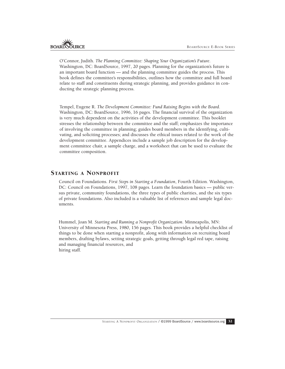O'Connor, Judith. *The Planning Committee: Shaping Your Organization's Future*. Washington, DC: BoardSource, 1997, 20 pages. Planning for the organization's future is an important board function — and the planning committee guides the process. This book defines the committee's responsibilities, outlines how the committee and full board relate to staff and constituents during strategic planning, and provides guidance in conducting the strategic planning process.

Tempel, Eugene R. *The Development Committee: Fund Raising Begins with the Board*. Washington, DC: BoardSource, 1996, 16 pages. The financial survival of the organization is very much dependent on the activities of the development committee. This booklet stresses the relationship between the committee and the staff; emphasizes the importance of involving the committee in planning; guides board members in the identifying, cultivating, and soliciting processes; and discusses the ethical issues related to the work of the development committee. Appendices include a sample job description for the development committee chair, a sample charge, and a worksheet that can be used to evaluate the committee composition.

### STARTING A NONPROFIT

Council on Foundations. *First Steps in Starting a Foundation*, Fourth Edition. Washington, DC: Council on Foundations, 1997, 108 pages. Learn the foundation basics — public versus private, community foundations, the three types of public charities, and the six types of private foundations. Also included is a valuable list of references and sample legal documents.

Hummel, Joan M. *Starting and Running a Nonprofit Organization*. Minneapolis, MN: University of Minnesota Press, 1980, 156 pages. This book provides a helpful checklist of things to be done when starting a nonprofit, along with information on recruiting board members, drafting bylaws, setting strategic goals, getting through legal red tape, raising and managing financial resources, and hiring staff.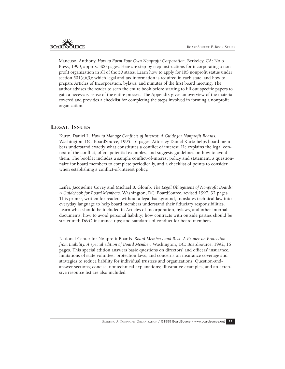Mancuso, Anthony. *How to Form Your Own Nonprofit Corporation*. Berkeley, CA: Nolo Press, 1990, approx. 300 pages. Here are step-by-step instructions for incorporating a nonprofit organization in all of the 50 states. Learn how to apply for IRS nonprofit status under section  $501(c)(3)$ ; which legal and tax information is required in each state, and how to prepare Articles of Incorporation, bylaws, and minutes of the first board meeting. The author advises the reader to scan the entire book before starting to fill out specific papers to gain a necessary sense of the entire process. The Appendix gives an overview of the material covered and provides a checklist for completing the steps involved in forming a nonprofit organization.

### LEGAL ISSUES

Kurtz, Daniel L. *How to Manage Conflicts of Interest: A Guide for Nonprofit Boards*. Washington, DC: BoardSource, 1995, 16 pages. Attorney Daniel Kurtz helps board members understand exactly what constitutes a conflict of interest. He explains the legal context of the conflict, offers potential examples, and suggests guidelines on how to avoid them. The booklet includes a sample conflict-of-interest policy and statement, a questionnaire for board members to complete periodically, and a checklist of points to consider when establishing a conflict-of-interest policy.

Leifer, Jacqueline Covey and Michael B. Glomb. *The Legal Obligations of Nonprofit Boards: A Guidebook for Board Members*. Washington, DC: BoardSource, revised 1997, 32 pages. This primer, written for readers without a legal background, translates technical law into everyday language to help board members understand their fiduciary responsibilities. Learn what should be included in Articles of Incorporation, bylaws, and other internal documents; how to avoid personal liability; how contracts with outside parties should be structured; D&O insurance tips; and standards of conduct for board members.

National Center for Nonprofit Boards. *Board Members and Risk: A Primer on Protection from Liability. A special edition of Board Member*. Washington, DC: BoardSource, 1992, 16 pages. This special edition answers basic questions on directors' and officers' insurance, limitations of state volunteer protection laws, and concerns on insurance coverage and strategies to reduce liability for individual trustees and organizations. Question-andanswer sections; concise, nontechnical explanations; illustrative examples; and an extensive resource list are also included.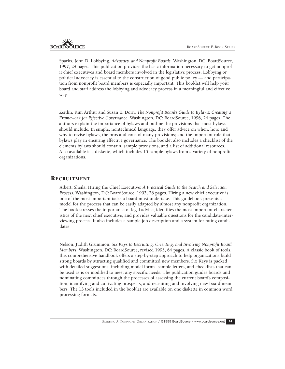Sparks, John D. Lobbying, *Advocacy, and Nonprofit Boards*. Washington, DC: BoardSource, 1997, 24 pages. This publication provides the basic information necessary to get nonprofit chief executives and board members involved in the legislative process. Lobbying or political advocacy is essential to the construction of good public policy — and participation from nonprofit board members is especially important. This booklet will help your board and staff address the lobbying and advocacy process in a meaningful and effective way.

Zeitlin, Kim Arthur and Susan E. Dorn. *The Nonprofit Board's Guide to Bylaws: Creating a Framework for Effective Governance*. Washington, DC: BoardSource, 1996, 24 pages. The authors explain the importance of bylaws and outline the provisions that most bylaws should include. In simple, nontechnical language, they offer advice on when, how, and why to revise bylaws; the pros and cons of many provisions; and the important role that bylaws play in ensuring effective governance. The booklet also includes a checklist of the elements bylaws should contain, sample provisions, and a list of additional resources. Also available is a diskette, which includes 15 sample bylaws from a variety of nonprofit organizations.

#### **RECRUITMENT**

Albert, Sheila. Hiring the Chief Executive: *A Practical Guide to the Search and Selection Process*. Washington, DC: BoardSource, 1993, 28 pages. Hiring a new chief executive is one of the most important tasks a board must undertake. This guidebook presents a model for the process that can be easily adapted by almost any nonprofit organization. The book stresses the importance of legal advice, identifies the most important characteristics of the next chief executive, and provides valuable questions for the candidate-interviewing process. It also includes a sample job description and a system for rating candidates.

Nelson, Judith Grummon. S*ix Keys to Recruiting, Orienting, and Involving Nonprofit Board Members*. Washington, DC: BoardSource, revised 1995, 64 pages. A classic book of tools, this comprehensive handbook offers a step-by-step approach to help organizations build strong boards by attracting qualified and committed new members. Six Keys is packed with detailed suggestions, including model forms, sample letters, and checklists that can be used as is or modified to meet any specific needs. The publication guides boards and nominating committees through the processes of assessing the current board's composition, identifying and cultivating prospects, and recruiting and involving new board members. The 13 tools included in the booklet are available on one diskette in common word processing formats.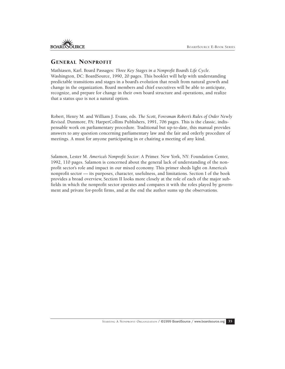## GENERAL NONPROFIT

Mathiasen, Karl. Board Passages: *Three Key Stages in a Nonprofit Board's Life Cycle*. Washington, DC: BoardSource, 1990, 20 pages. This booklet will help with understanding predictable transitions and stages in a board's evolution that result from natural growth and change in the organization. Board members and chief executives will be able to anticipate, recognize, and prepare for change in their own board structure and operations, and realize that a status quo is not a natural option.

Robert, Henry M. and William J. Evans, eds. *The Scott, Foresman Robert's Rules of Order Newly Revised*. Dunmore, PA: HarperCollins Publishers, 1991, 706 pages. This is the classic, indispensable work on parliamentary procedure. Traditional but up-to-date, this manual provides answers to any question concerning parliamentary law and the fair and orderly procedure of meetings. A must for anyone participating in or chairing a meeting of any kind.

Salamon, Lester M. *America's Nonprofit Sector*: A Primer. New York, NY: Foundation Center, 1992, 110 pages. Salamon is concerned about the general lack of understanding of the nonprofit sector's role and impact in our mixed economy. This primer sheds light on America's nonprofit sector — its purposes, character, usefulness, and limitations. Section I of the book provides a broad overview, Section II looks more closely at the role of each of the major subfields in which the nonprofit sector operates and compares it with the roles played by government and private for-profit firms, and at the end the author sums up the observations.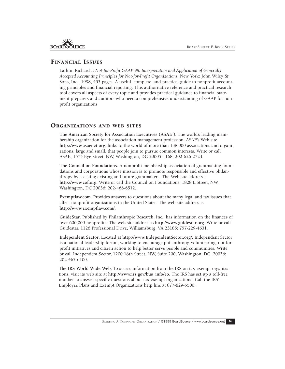### FINANCIAL ISSUES

Larkin, Richard F. *Not-for-Profit GAAP 98: Interpretation and Application of Generally Accepted Accounting Principles for Not-for-Profit Organizations*. New York: John Wiley & Sons, Inc.. 1998, 453 pages. A useful, complete, and practical guide to nonprofit accounting principles and financial reporting. This authoritative reference and practical research tool covers all aspects of every topic and provides practical guidance to financial statement preparers and auditors who need a comprehensive understanding of GAAP for nonprofit organizations.

#### ORGANIZATIONS AND WEB SITES

**The American Society for Association Executives (ASAE )**. The world's leading membership organization for the association management profession. ASAE's Web site, **http://www.asaenet.org**, links to the world of more than 138,000 associations and organizations, large and small, that people join to pursue common interests. Write or call ASAE, 1575 Eye Street, NW, Washington, DC 20005-1168; 202-626-2723.

**The Council on Foundations**. A nonprofit membership association of grantmaking foundations and corporations whose mission is to promote responsible and effective philanthropy by assisting existing and future grantmakers. The Web site address is **http://www.cof.org.** Write or call the Council on Foundations, 1828 L Street, NW, Washington, DC 20036; 202-466-6512.

**Exemptlaw.com**. Provides answers to questions about the many legal and tax issues that affect nonprofit organizations in the United States. The web site address is **http://www.exemptlaw.com/**.

**GuideStar**. Published by Philanthropic Research, Inc., has information on the finances of over 600,000 nonprofits. The web site address is **http://www.guidestar.org**. Write or call Guidestar, 1126 Professional Drive, Williamsburg, VA 23185; 757-229-4631.

**Independent Sector**. Located at **http://www.IndependentSector.org/**, Independent Sector is a national leadership forum, working to encourage philanthropy, volunteering, not-forprofit initiatives and citizen action to help better serve people and communities. Write or call Independent Sector, 1200 18th Street, NW, Suite 200, Washington, DC 20036; 202-467-6100.

**The IRS World Wide Web**. To access information from the IRS on tax-exempt organizations, visit its web site at **http://www.irs.gov/bus\_info/eo**. The IRS has set up a toll-free number to answer specific questions about tax-exempt organizations. Call the IRS' Employee Plans and Exempt Organizations help line at 877-829-5500.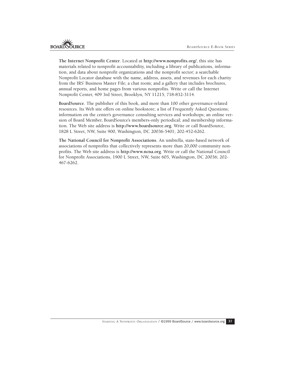**The Internet Nonprofit Center**. Located at **http://www.nonprofits.org/**, this site has materials related to nonprofit accountability, including a library of publications, information, and data about nonprofit organizations and the nonprofit sector; a searchable Nonprofit Locator database with the name, address, assets, and revenues for each charity from the IRS' Business Master File; a chat room; and a gallery that includes brochures, annual reports, and home pages from various nonprofits. Write or call the Internet Nonprofit Center, 409 3rd Street, Brooklyn, NY 11215; 718-832-3114.

**BoardSource**. The publisher of this book, and more than 100 other governance-related resources. Its Web site offers on online bookstore; a list of Frequently Asked Questions; information on the center's governance consulting services and workshops; an online version of Board Member, BoardSource's members-only periodical; and membership information. The Web site address is **http://www.boardsource.org**. Write or call BoardSource, 1828 L Street, NW, Suite 900, Washington, DC 20036-5401; 202-452-6262.

**The National Council for Nonprofit Associations**. An umbrella, state-based network of associations of nonprofits that collectively represents more than 20,000 community nonprofits. The Web site address is **http://www.ncna.org**. Write or call the National Council for Nonprofit Associations, 1900 L Street, NW, Suite 605, Washington, DC 20036; 202- 467-6262.

STARTING A NONPROFIT ORGANIZATION / ©1999 BoardSource / www.boardsource.org 37